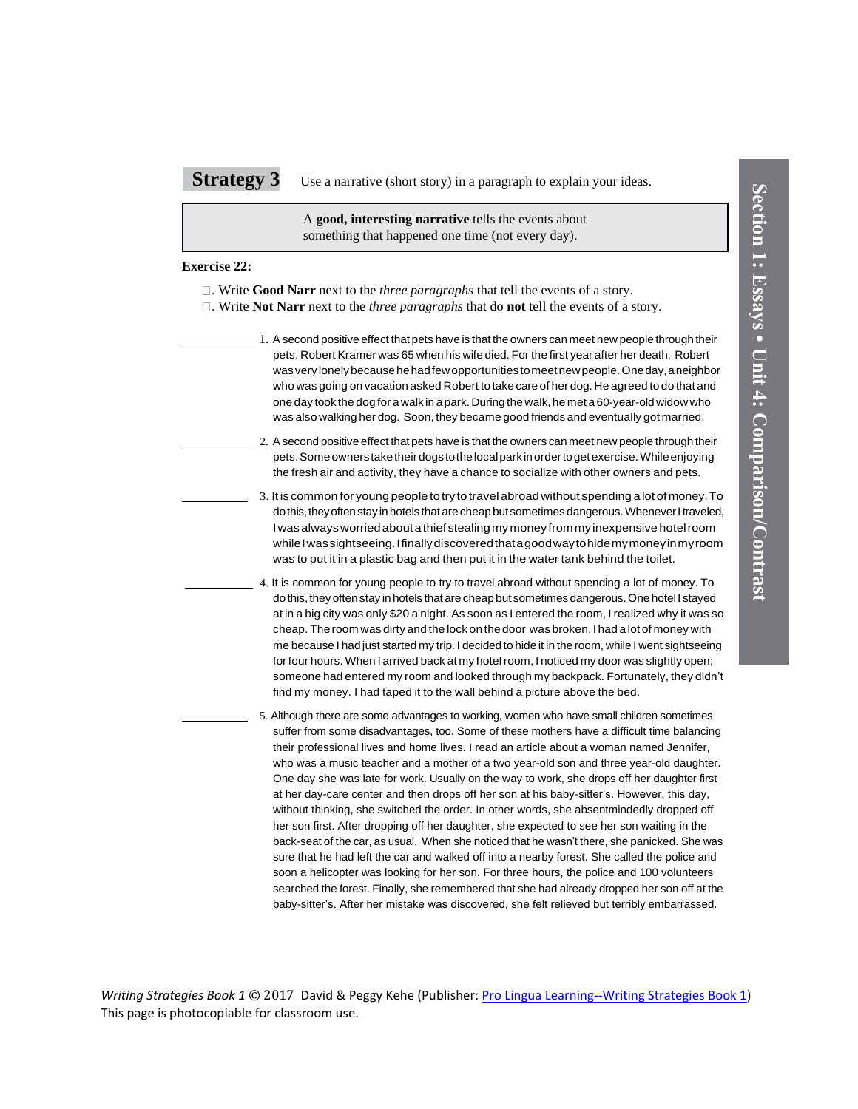A **good, interesting narrative** tells the events about something that happened one time (not every day).

## **Exercise 22:**

- . Write **Good Narr** next to the *three paragraphs* that tell the events of a story.
- . Write **Not Narr** next to the *three paragraphs* that do **not** tell the events of a story.
	- 1. A second positive effect that pets have is that the owners can meet new people through their pets. Robert Kramer was 65 when his wife died. For the first year after her death, Robert was very lonely because he had few opportunities to meet new people. One day, a neighbor who was going on vacation asked Robert to take care of her dog. He agreed to do that and one day took the dog for a walk in a park. Duringthe walk,he met a 60-year-oldwidow who was also walking her dog. Soon, they became good friends and eventually got married.
		- 2. Asecond positive effect that pets have is that the owners can meet new people through their pets.Someownerstaketheirdogstothelocalparkinordertogetexercise.Whileenjoying the fresh air and activity, they have a chance to socialize with other owners and pets.
	- 3. It is common for young people totry to travelabroad without spending a lot of money.To do this, they often stay in hotels that are cheap but sometimes dangerous. Whenever I traveled, Iwasalwaysworriedaboutathief stealing mymoney frommy inexpensive hotelroom while I was sightseeing. I finally discovered that a good way to hide my money in my room was to put it in a plastic bag and then put it in the water tank behind the toilet.
	- 4. It is common for young people to try to travel abroad without spending a lot of money. To do this, they often stay in hotels that are cheap but sometimes dangerous. One hotel I stayed at in a big city was only \$20 a night. As soon as I entered the room, I realized why it was so cheap. The room was dirty and the lock on the door was broken. I had a lot of money with It is common for young people to try to travel abroad without spending a lot of money. To<br>do this, they often stay in hotels that are cheap but sometimes dangerous. One hotel I stayed<br>at in a big city was only \$20 a night. for four hours. When I arrived back at my hotel room, I noticed my door was slightly open; at in a big city was only \$20 a night. As soon as I entered the room, I realized why it was so<br>cheap. The room was dirty and the lock on the door was broken. I had a lot of money with<br>me because I had just started my trip. find my money. I had taped it to the wall behind a picture above the bed.
- **Strategy 3** Use a narrative (short story) in a paragraph to explain your ideas.<br>
A women this treater than parameterize tells the events story.<br>
Exercise 22:<br>
D. Write Good Narr mext to the *force paragraph* that the di 5. Although there are some advantages to working, women who have small children sometimes suffer from some disadvantages, too. Some of these mothers have a difficult time balancing their professional lives and home lives. I read an article about a woman named Jennifer, who was a music teacher and a mother of a two year-old son and three year-old daughter. One day she was late for work. Usually on the way to work, she drops off her daughter first at her day-care center and then drops off her son at his baby-sitter's. However, this day, without thinking, she switched the order. In other words, she absentmindedly dropped off her son first. After dropping off her daughter, she expected to see her son waiting in the back-seat of the car, as usual. When she noticed that he wasn't there, she panicked. She was sure that he had left the car and walked off into a nearby forest. She called the police and soon a helicopter was looking for her son. For three hours, the police and 100 volunteers searched the forest. Finally, she remembered that she had already dropped her son off at the baby-sitter's. After her mistake was discovered, she felt relieved but terribly embarrassed.

*Writing Strategies Book 1* © 2017 David & Peggy Kehe (Publisher: [Pro Lingua Learning--Writing Strategies Book 1\)](https://prolingualearning.bookstore.ipgbook.com/writing-strategies--book-1-products-9780866474306.php?page_id=30)